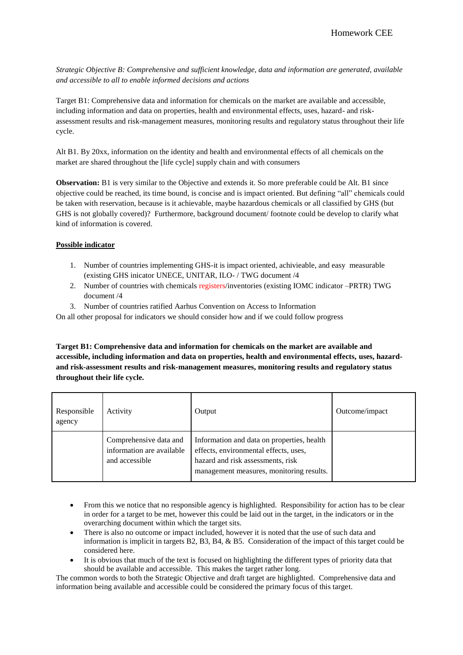*Strategic Objective B: Comprehensive and sufficient knowledge, data and information are generated, available and accessible to all to enable informed decisions and actions*

Target B1: Comprehensive data and information for chemicals on the market are available and accessible, including information and data on properties, health and environmental effects, uses, hazard- and riskassessment results and risk-management measures, monitoring results and regulatory status throughout their life cycle.

Alt B1. By 20xx, information on the identity and health and environmental effects of all chemicals on the market are shared throughout the [life cycle] supply chain and with consumers

**Observation:** B1 is very similar to the Objective and extends it. So more preferable could be Alt. B1 since objective could be reached, its time bound, is concise and is impact oriented. But defining "all" chemicals could be taken with reservation, because is it achievable, maybe hazardous chemicals or all classified by GHS (but GHS is not globally covered)? Furthermore, background document/ footnote could be develop to clarify what kind of information is covered.

## **Possible indicator**

- 1. Number of countries implementing GHS-it is impact oriented, achivieable, and easy measurable (existing GHS inicator UNECE, UNITAR, ILO- / TWG document /4
- 2. Number of countries with chemicals registers/inventories (existing IOMC indicator –PRTR) TWG document /4
- 3. Number of countries ratified Aarhus Convention on Access to Information

On all other proposal for indicators we should consider how and if we could follow progress

**Target B1: Comprehensive data and information for chemicals on the market are available and accessible, including information and data on properties, health and environmental effects, uses, hazardand risk-assessment results and risk-management measures, monitoring results and regulatory status throughout their life cycle.**

| Responsible<br>agency                                                 | Activity | Output                                                                                                                                                               | Outcome/impact |
|-----------------------------------------------------------------------|----------|----------------------------------------------------------------------------------------------------------------------------------------------------------------------|----------------|
| Comprehensive data and<br>information are available<br>and accessible |          | Information and data on properties, health<br>effects, environmental effects, uses,<br>hazard and risk assessments, risk<br>management measures, monitoring results. |                |

- From this we notice that no responsible agency is highlighted. Responsibility for action has to be clear in order for a target to be met, however this could be laid out in the target, in the indicators or in the overarching document within which the target sits.
- There is also no outcome or impact included, however it is noted that the use of such data and information is implicit in targets B2, B3, B4, & B5. Consideration of the impact of this target could be considered here.
- It is obvious that much of the text is focused on highlighting the different types of priority data that should be available and accessible. This makes the target rather long.

The common words to both the Strategic Objective and draft target are highlighted. Comprehensive data and information being available and accessible could be considered the primary focus of this target.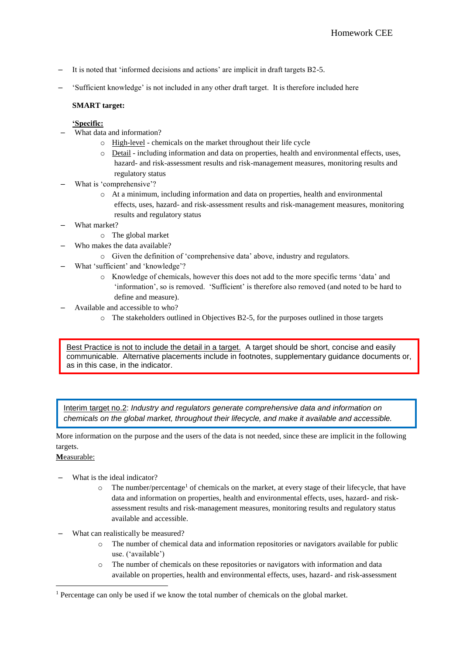- It is noted that 'informed decisions and actions' are implicit in draft targets B2-5.
- 'Sufficient knowledge' is not included in any other draft target. It is therefore included here

# **SMART target:**

# **'Specific:**

- What data and information?
	- o High-level chemicals on the market throughout their life cycle
	- o Detail including information and data on properties, health and environmental effects, uses, hazard- and risk-assessment results and risk-management measures, monitoring results and regulatory status
- What is 'comprehensive'?
	- o At a minimum, including information and data on properties, health and environmental effects, uses, hazard- and risk-assessment results and risk-management measures, monitoring results and regulatory status
- What market?
	- o The global market
- Who makes the data available?
	- o Given the definition of 'comprehensive data' above, industry and regulators.
- What 'sufficient' and 'knowledge'?
	- o Knowledge of chemicals, however this does not add to the more specific terms 'data' and 'information', so is removed. 'Sufficient' is therefore also removed (and noted to be hard to define and measure).
- Available and accessible to who?
	- o The stakeholders outlined in Objectives B2-5, for the purposes outlined in those targets

Best Practice is not to include the detail in a target. A target should be short, concise and easily communicable. Alternative placements include in footnotes, supplementary guidance documents or, as in this case, in the indicator.

Interim target no.2: *Industry and regulators generate comprehensive data and information on chemicals on the global market, throughout their lifecycle, and make it available and accessible.*

More information on the purpose and the users of the data is not needed, since these are implicit in the following targets.

## **M**easurable:

1

- What is the ideal indicator?
	- $\circ$  The number/percentage<sup>1</sup> of chemicals on the market, at every stage of their lifecycle, that have data and information on properties, health and environmental effects, uses, hazard- and riskassessment results and risk-management measures, monitoring results and regulatory status available and accessible.
- What can realistically be measured?
	- o The number of chemical data and information repositories or navigators available for public use. ('available')
	- o The number of chemicals on these repositories or navigators with information and data available on properties, health and environmental effects, uses, hazard- and risk-assessment

<sup>1</sup> Percentage can only be used if we know the total number of chemicals on the global market.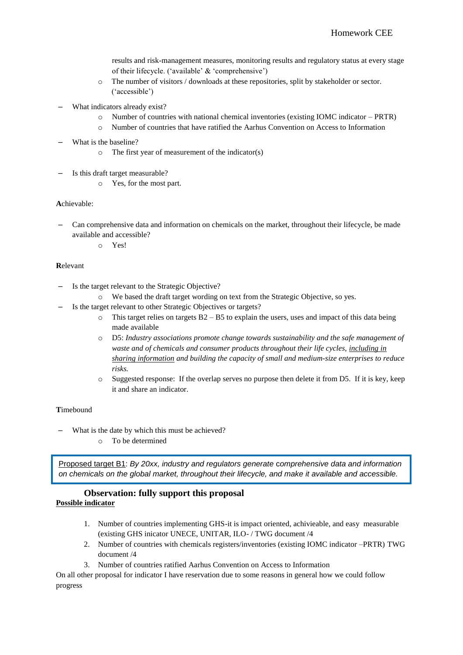results and risk-management measures, monitoring results and regulatory status at every stage of their lifecycle. ('available' & 'comprehensive')

- o The number of visitors / downloads at these repositories, split by stakeholder or sector. ('accessible')
- What indicators already exist?
	- o Number of countries with national chemical inventories (existing IOMC indicator PRTR)
	- o Number of countries that have ratified the Aarhus Convention on Access to Information
- What is the baseline?
	- o The first year of measurement of the indicator(s)
- Is this draft target measurable?
	- o Yes, for the most part.

### **A**chievable:

– Can comprehensive data and information on chemicals on the market, throughout their lifecycle, be made available and accessible?

o Yes!

### **R**elevant

- Is the target relevant to the Strategic Objective?
	- o We based the draft target wording on text from the Strategic Objective, so yes.
- Is the target relevant to other Strategic Objectives or targets?
	- $\circ$  This target relies on targets B2 B5 to explain the users, uses and impact of this data being made available
	- o D5: *Industry associations promote change towards sustainability and the safe management of waste and of chemicals and consumer products throughout their life cycles, including in sharing information and building the capacity of small and medium-size enterprises to reduce risks.*
	- o Suggested response: If the overlap serves no purpose then delete it from D5. If it is key, keep it and share an indicator.

### **T**imebound

- What is the date by which this must be achieved?
	- o To be determined

Proposed target B1: *By 20xx, industry and regulators generate* c*omprehensive data and information on chemicals on the global market, throughout their lifecycle, and make it available and accessible.*

### **Observation: fully support this proposal Possible indicator**

- 1. Number of countries implementing GHS-it is impact oriented, achivieable, and easy measurable (existing GHS inicator UNECE, UNITAR, ILO- / TWG document /4
- 2. Number of countries with chemicals registers/inventories (existing IOMC indicator –PRTR) TWG document /4
- 3. Number of countries ratified Aarhus Convention on Access to Information

On all other proposal for indicator I have reservation due to some reasons in general how we could follow progress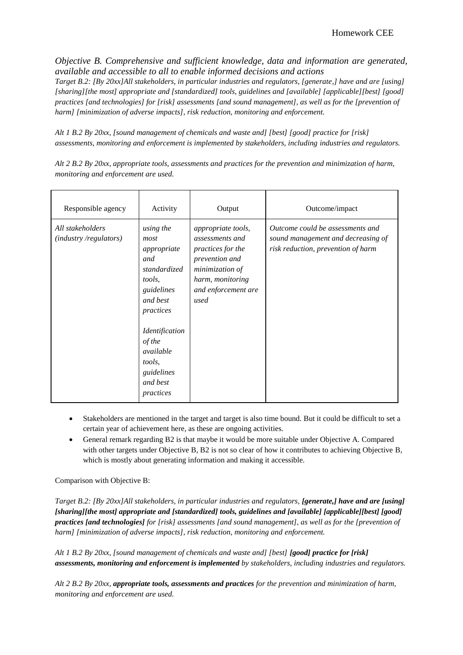*Objective B. Comprehensive and sufficient knowledge, data and information are generated, available and accessible to all to enable informed decisions and actions*

*Target B.2: [By 20xx]All stakeholders, in particular industries and regulators, [generate,] have and are [using] [sharing][the most] appropriate and [standardized] tools, guidelines and [available] [applicable][best] [good] practices [and technologies] for [risk] assessments [and sound management], as well as for the [prevention of harm] [minimization of adverse impacts], risk reduction, monitoring and enforcement.*

*Alt 1 B.2 By 20xx, [sound management of chemicals and waste and] [best] [good] practice for [risk] assessments, monitoring and enforcement is implemented by stakeholders, including industries and regulators.*

Responsible agency Activity Output Output Outcome/impact *All stakeholders (industry /regulators) using the most appropriate and standardized tools, guidelines and best practices Identification of the available tools, guidelines and best practices appropriate tools, assessments and practices for the prevention and minimization of harm, monitoring and enforcement are used Outcome could be assessments and sound management and decreasing of risk reduction, prevention of harm*

*Alt 2 B.2 By 20xx, appropriate tools, assessments and practices for the prevention and minimization of harm, monitoring and enforcement are used.*

- Stakeholders are mentioned in the target and target is also time bound. But it could be difficult to set a certain year of achievement here, as these are ongoing activities.
- General remark regarding B2 is that maybe it would be more suitable under Objective A. Compared with other targets under Objective B, B2 is not so clear of how it contributes to achieving Objective B, which is mostly about generating information and making it accessible.

Comparison with Objective B:

*Target B.2: [By 20xx]All stakeholders, in particular industries and regulators, [generate,] have and are [using] [sharing][the most] appropriate and [standardized] tools, guidelines and [available] [applicable][best] [good] practices [and technologies] for [risk] assessments [and sound management], as well as for the [prevention of harm] [minimization of adverse impacts], risk reduction, monitoring and enforcement.*

*Alt 1 B.2 By 20xx, [sound management of chemicals and waste and] [best] [good] practice for [risk] assessments, monitoring and enforcement is implemented by stakeholders, including industries and regulators.*

*Alt 2 B.2 By 20xx, appropriate tools, assessments and practices for the prevention and minimization of harm, monitoring and enforcement are used.*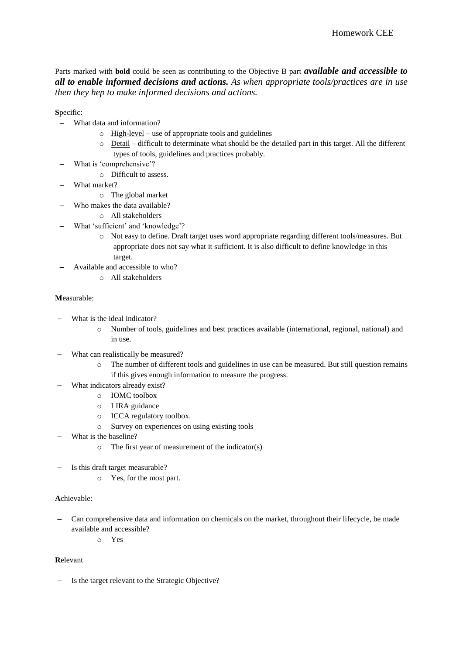Parts marked with **bold** could be seen as contributing to the Objective B part *available and accessible to all to enable informed decisions and actions. As when appropriate tools/practices are in use then they hep to make informed decisions and actions.* 

**S**pecific:

- What data and information?
	- $\circ$  High-level use of appropriate tools and guidelines
	- o Detail difficult to determinate what should be the detailed part in this target. All the different types of tools, guidelines and practices probably.
- What is 'comprehensive'?
	- o Difficult to assess.
- What market?
	- o The global market
	- Who makes the data available?
		- o All stakeholders
- What 'sufficient' and 'knowledge'?
	- o Not easy to define. Draft target uses word appropriate regarding different tools/measures. But appropriate does not say what it sufficient. It is also difficult to define knowledge in this target.
- Available and accessible to who?
	- o All stakeholders

## **M**easurable:

- What is the ideal indicator?
	- o Number of tools, guidelines and best practices available (international, regional, national) and in use.
- What can realistically be measured?
	- o The number of different tools and guidelines in use can be measured. But still question remains if this gives enough information to measure the progress.
- What indicators already exist?
	- o IOMC toolbox
	- o LIRA guidance
	- o ICCA regulatory toolbox.
	- o Survey on experiences on using existing tools
- What is the baseline?
	- o The first year of measurement of the indicator(s)
- Is this draft target measurable?
	- o Yes, for the most part.

# **A**chievable:

- Can comprehensive data and information on chemicals on the market, throughout their lifecycle, be made available and accessible?
	- o Yes

## **R**elevant

– Is the target relevant to the Strategic Objective?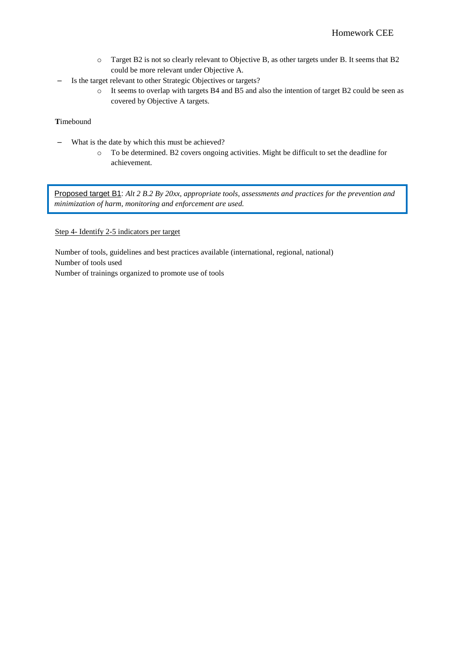- o Target B2 is not so clearly relevant to Objective B, as other targets under B. It seems that B2 could be more relevant under Objective A.
- Is the target relevant to other Strategic Objectives or targets?
	- o It seems to overlap with targets B4 and B5 and also the intention of target B2 could be seen as covered by Objective A targets.

## **T**imebound

- What is the date by which this must be achieved?
	- o To be determined. B2 covers ongoing activities. Might be difficult to set the deadline for achievement.

Proposed target B1: *Alt 2 B.2 By 20xx, appropriate tools, assessments and practices for the prevention and minimization of harm, monitoring and enforcement are used.*

## Step 4- Identify 2-5 indicators per target

Number of tools, guidelines and best practices available (international, regional, national) Number of tools used Number of trainings organized to promote use of tools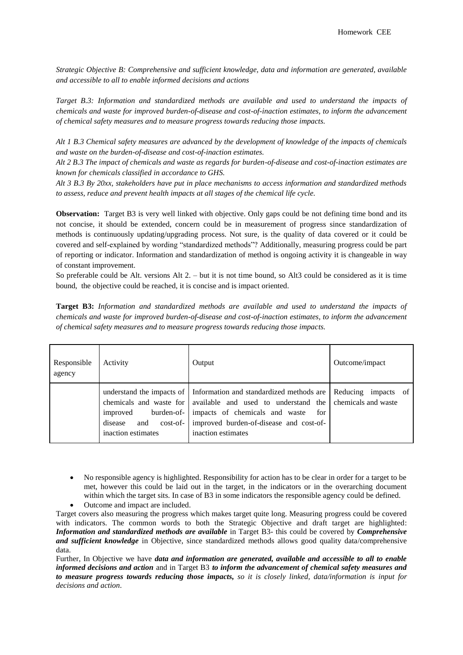*Strategic Objective B: Comprehensive and sufficient knowledge, data and information are generated, available and accessible to all to enable informed decisions and actions*

*Target B.3: Information and standardized methods are available and used to understand the impacts of chemicals and waste for improved burden-of-disease and cost-of-inaction estimates, to inform the advancement of chemical safety measures and to measure progress towards reducing those impacts.* 

*Alt 1 B.3 Chemical safety measures are advanced by the development of knowledge of the impacts of chemicals and waste on the burden-of-disease and cost-of-inaction estimates.*

*Alt 2 B.3 The impact of chemicals and waste as regards for burden-of-disease and cost-of-inaction estimates are known for chemicals classified in accordance to GHS.* 

*Alt 3 B.3 By 20xx, stakeholders have put in place mechanisms to access information and standardized methods to assess, reduce and prevent health impacts at all stages of the chemical life cycle.* 

**Observation:** Target B3 is very well linked with objective. Only gaps could be not defining time bond and its not concise, it should be extended, concern could be in measurement of progress since standardization of methods is continuously updating/upgrading process. Not sure, is the quality of data covered or it could be covered and self-explained by wording "standardized methods"? Additionally, measuring progress could be part of reporting or indicator. Information and standardization of method is ongoing activity it is changeable in way of constant improvement.

So preferable could be Alt. versions Alt 2. – but it is not time bound, so Alt3 could be considered as it is time bound, the objective could be reached, it is concise and is impact oriented.

**Target B3:** *Information and standardized methods are available and used to understand the impacts of chemicals and waste for improved burden-of-disease and cost-of-inaction estimates, to inform the advancement of chemical safety measures and to measure progress towards reducing those impacts.*

| Responsible<br>agency | Activity           | Output                                                                                                                                                                                                                                                                                                                            | Outcome/impact |
|-----------------------|--------------------|-----------------------------------------------------------------------------------------------------------------------------------------------------------------------------------------------------------------------------------------------------------------------------------------------------------------------------------|----------------|
|                       | inaction estimates | understand the impacts of Information and standardized methods are Reducing impacts of<br>chemicals and waste for   available and used to understand the   chemicals and waste<br>improved burden-of- impacts of chemicals and waste<br>for<br>disease and cost-of- improved burden-of-disease and cost-of-<br>inaction estimates |                |

• No responsible agency is highlighted. Responsibility for action has to be clear in order for a target to be met, however this could be laid out in the target, in the indicators or in the overarching document within which the target sits. In case of B3 in some indicators the responsible agency could be defined.

Outcome and impact are included.

Target covers also measuring the progress which makes target quite long. Measuring progress could be covered with indicators. The common words to both the Strategic Objective and draft target are highlighted: *Information and standardized methods are available* in Target B3- this could be covered by *Comprehensive and sufficient knowledge* in Objective, since standardized methods allows good quality data/comprehensive data.

Further, In Objective we have *data and information are generated, available and accessible to all to enable informed decisions and action* and in Target B3 *to inform the advancement of chemical safety measures and to measure progress towards reducing those impacts, so it is closely linked, data/information is input for decisions and action*.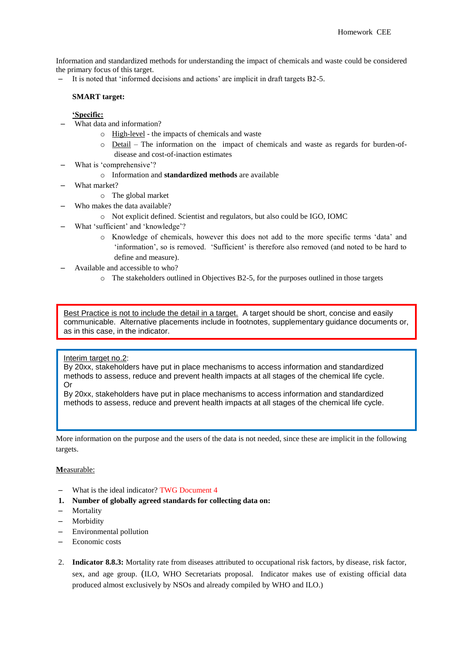Information and standardized methods for understanding the impact of chemicals and waste could be considered the primary focus of this target.

– It is noted that 'informed decisions and actions' are implicit in draft targets B2-5.

# **SMART target:**

### **'Specific:**

- What data and information?
	- o High-level the impacts of chemicals and waste
	- o Detail The information on the impact of chemicals and waste as regards for burden-ofdisease and cost-of-inaction estimates
- What is 'comprehensive'?
	- o Information and **standardized methods** are available
- What market?
	- o The global market
	- Who makes the data available?
		- o Not explicit defined. Scientist and regulators, but also could be IGO, IOMC
- What 'sufficient' and 'knowledge'?
	- o Knowledge of chemicals, however this does not add to the more specific terms 'data' and 'information', so is removed. 'Sufficient' is therefore also removed (and noted to be hard to define and measure).
- Available and accessible to who?
	- o The stakeholders outlined in Objectives B2-5, for the purposes outlined in those targets

Best Practice is not to include the detail in a target. A target should be short, concise and easily communicable. Alternative placements include in footnotes, supplementary guidance documents or, as in this case, in the indicator.

#### Interim target no.2:

By 20xx, stakeholders have put in place mechanisms to access information and standardized methods to assess, reduce and prevent health impacts at all stages of the chemical life cycle. Or

By 20xx, stakeholders have put in place mechanisms to access information and standardized methods to assess, reduce and prevent health impacts at all stages of the chemical life cycle.

More information on the purpose and the users of the data is not needed, since these are implicit in the following targets.

#### **M**easurable:

- What is the ideal indicator? TWG Document 4
- **1. Number of globally agreed standards for collecting data on:**
- **Mortality**
- **Morbidity**
- Environmental pollution
- Economic costs
- 2. **Indicator 8.8.3:** Mortality rate from diseases attributed to occupational risk factors, by disease, risk factor, sex, and age group. (ILO, WHO Secretariats proposal. Indicator makes use of existing official data produced almost exclusively by NSOs and already compiled by WHO and ILO.)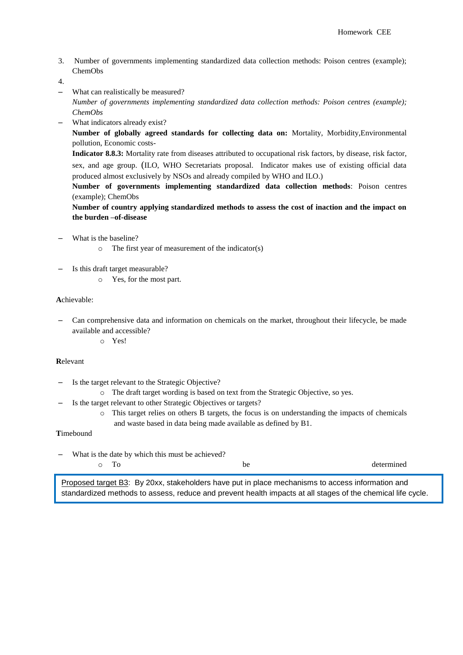3. Number of governments implementing standardized data collection methods: Poison centres (example); ChemObs

4.

- What can realistically be measured? *Number of governments implementing standardized data collection methods: Poison centres (example); ChemObs*
- What indicators already exist? **Number of globally agreed standards for collecting data on:** Mortality, Morbidity,Environmental pollution, Economic costs-

**Indicator 8.8.3:** Mortality rate from diseases attributed to occupational risk factors, by disease, risk factor, sex, and age group. (ILO, WHO Secretariats proposal. Indicator makes use of existing official data produced almost exclusively by NSOs and already compiled by WHO and ILO.)

**Number of governments implementing standardized data collection methods**: Poison centres (example); ChemObs

**Number of country applying standardized methods to assess the cost of inaction and the impact on the burden –of-disease**

- What is the baseline?
	- o The first year of measurement of the indicator(s)
- Is this draft target measurable?
	- o Yes, for the most part.

### **A**chievable:

– Can comprehensive data and information on chemicals on the market, throughout their lifecycle, be made available and accessible?

o Yes!

### **R**elevant

- Is the target relevant to the Strategic Objective?
- o The draft target wording is based on text from the Strategic Objective, so yes.
- Is the target relevant to other Strategic Objectives or targets?
	- $\circ$  This target relies on others B targets, the focus is on understanding the impacts of chemicals and waste based in data being made available as defined by B1.

### **T**imebound

What is the date by which this must be achieved?

| repeated to reat R <sub>2</sub> , Ry 20xx, stakeholders have put in place mechanisms to access information and |  |
|----------------------------------------------------------------------------------------------------------------|--|

Proposed target B3: By 20xx, stakeholders have put in place mechanisms to access information and standardized methods to assess, reduce and prevent health impacts at all stages of the chemical life cycle.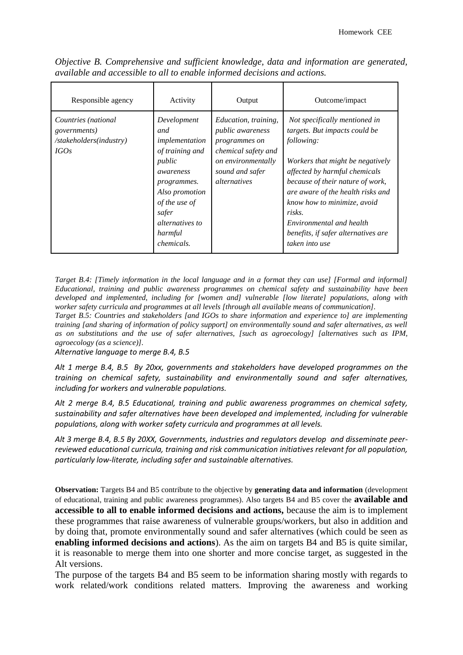| Responsible agency                                                             | Activity                                                                                                                                                                                            | Output                                                                                                                                                  | Outcome/impact                                                                                                                                                                                                                                                                                                                                           |
|--------------------------------------------------------------------------------|-----------------------------------------------------------------------------------------------------------------------------------------------------------------------------------------------------|---------------------------------------------------------------------------------------------------------------------------------------------------------|----------------------------------------------------------------------------------------------------------------------------------------------------------------------------------------------------------------------------------------------------------------------------------------------------------------------------------------------------------|
| Countries (national<br><i>governments</i> )<br>/stakeholders(industry)<br>IGOs | Development<br>and<br>implementation<br>of training and<br>public<br>awareness<br>programmes.<br>Also promotion<br>of the use of<br>safer<br><i>alternatives to</i><br>harmful<br><i>chemicals.</i> | Education, training,<br><i>public awareness</i><br>programmes on<br>chemical safety and<br>on environmentally<br>sound and safer<br><i>alternatives</i> | Not specifically mentioned in<br>targets. But impacts could be<br>following:<br>Workers that might be negatively<br>affected by harmful chemicals<br>because of their nature of work,<br>are aware of the health risks and<br>know how to minimize, avoid<br>risks.<br>Environmental and health<br>benefits, if safer alternatives are<br>taken into use |

*Objective B. Comprehensive and sufficient knowledge, data and information are generated, available and accessible to all to enable informed decisions and actions.*

*Target B.4: [Timely information in the local language and in a format they can use] [Formal and informal] Educational, training and public awareness programmes on chemical safety and sustainability have been developed and implemented, including for [women and] vulnerable [low literate] populations, along with worker safety curricula and programmes at all levels [through all available means of communication].*

*Target B.5: Countries and stakeholders [and IGOs to share information and experience to] are implementing training [and sharing of information of policy support] on environmentally sound and safer alternatives, as well as on substitutions and the use of safer alternatives, [such as agroecology] [alternatives such as IPM, agroecology (as a science)].* 

*Alternative language to merge B.4, B.5*

*Alt 1 merge B.4, B.5 By 20xx, governments and stakeholders have developed programmes on the training on chemical safety, sustainability and environmentally sound and safer alternatives, including for workers and vulnerable populations.* 

*Alt 2 merge B.4, B.5 Educational, training and public awareness programmes on chemical safety, sustainability and safer alternatives have been developed and implemented, including for vulnerable populations, along with worker safety curricula and programmes at all levels.* 

*Alt 3 merge B.4, B.5 By 20XX, Governments, industries and regulators develop and disseminate peerreviewed educational curricula, training and risk communication initiatives relevant for all population, particularly low-literate, including safer and sustainable alternatives.* 

**Observation:** Targets B4 and B5 contribute to the objective by **generating data and information** (development of educational, training and public awareness programmes). Also targets B4 and B5 cover the **available and accessible to all to enable informed decisions and actions,** because the aim is to implement these programmes that raise awareness of vulnerable groups/workers, but also in addition and by doing that, promote environmentally sound and safer alternatives (which could be seen as **enabling informed decisions and actions**). As the aim on targets B4 and B5 is quite similar, it is reasonable to merge them into one shorter and more concise target, as suggested in the Alt versions.

The purpose of the targets B4 and B5 seem to be information sharing mostly with regards to work related/work conditions related matters. Improving the awareness and working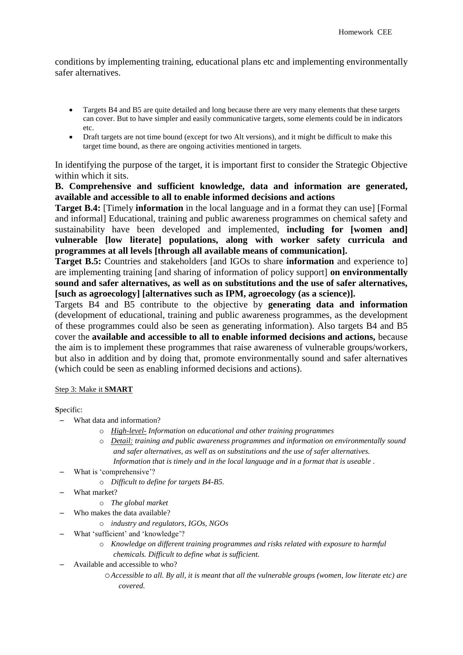conditions by implementing training, educational plans etc and implementing environmentally safer alternatives.

- Targets B4 and B5 are quite detailed and long because there are very many elements that these targets can cover. But to have simpler and easily communicative targets, some elements could be in indicators etc.
- Draft targets are not time bound (except for two Alt versions), and it might be difficult to make this target time bound, as there are ongoing activities mentioned in targets.

In identifying the purpose of the target, it is important first to consider the Strategic Objective within which it sits.

# **B. Comprehensive and sufficient knowledge, data and information are generated, available and accessible to all to enable informed decisions and actions**

**Target B.4:** [Timely **information** in the local language and in a format they can use] [Formal and informal] Educational, training and public awareness programmes on chemical safety and sustainability have been developed and implemented, **including for [women and] vulnerable [low literate] populations, along with worker safety curricula and programmes at all levels [through all available means of communication].**

**Target B.5:** Countries and stakeholders [and IGOs to share **information** and experience to] are implementing training [and sharing of information of policy support] **on environmentally sound and safer alternatives, as well as on substitutions and the use of safer alternatives, [such as agroecology] [alternatives such as IPM, agroecology (as a science)].** 

Targets B4 and B5 contribute to the objective by **generating data and information** (development of educational, training and public awareness programmes, as the development of these programmes could also be seen as generating information). Also targets B4 and B5 cover the **available and accessible to all to enable informed decisions and actions,** because the aim is to implement these programmes that raise awareness of vulnerable groups/workers, but also in addition and by doing that, promote environmentally sound and safer alternatives (which could be seen as enabling informed decisions and actions).

## Step 3: Make it **SMART**

## **S**pecific:

- What data and information?
	- o *High-level- Information on educational and other training programmes*
	- o *Detail: training and public awareness programmes and information on environmentally sound and safer alternatives, as well as on substitutions and the use of safer alternatives. Information that is timely and in the local language and in a format that is useable .*
- What is 'comprehensive'?
	- o *Difficult to define for targets B4-B5.*
- What market?
	- o *The global market*
	- Who makes the data available?
		- o *industry and regulators, IGOs, NGOs*
- What 'sufficient' and 'knowledge'?
	- o *Knowledge on different training programmes and risks related with exposure to harmful chemicals. Difficult to define what is sufficient.*
- Available and accessible to who?
	- o*Accessible to all. By all, it is meant that all the vulnerable groups (women, low literate etc) are covered.*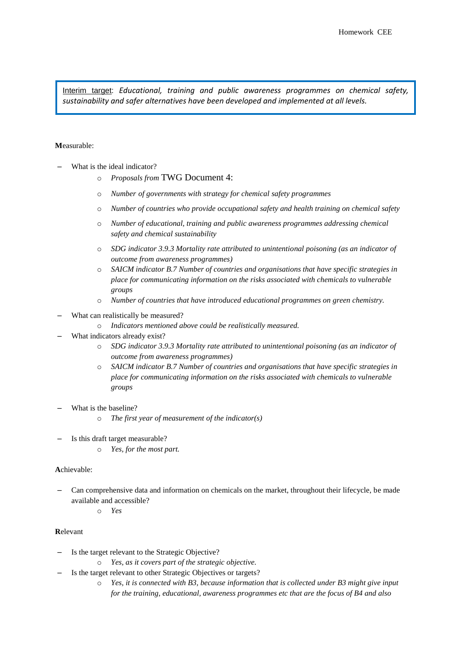Interim target: *Educational, training and public awareness programmes on chemical safety, sustainability and safer alternatives have been developed and implemented at all levels.* 

### **M**easurable:

- What is the ideal indicator?
	- o *Proposals from* TWG Document 4:
	- o *Number of governments with strategy for chemical safety programmes*
	- o *Number of countries who provide occupational safety and health training on chemical safety*
	- o *Number of educational, training and public awareness programmes addressing chemical safety and chemical sustainability*
	- o *SDG indicator 3.9.3 Mortality rate attributed to unintentional poisoning (as an indicator of outcome from awareness programmes)*
	- o *SAICM indicator B.7 Number of countries and organisations that have specific strategies in place for communicating information on the risks associated with chemicals to vulnerable groups*
	- o *Number of countries that have introduced educational programmes on green chemistry.*
- What can realistically be measured?
	- o *Indicators mentioned above could be realistically measured.*
- What indicators already exist?
	- o *SDG indicator 3.9.3 Mortality rate attributed to unintentional poisoning (as an indicator of outcome from awareness programmes)*
	- o *SAICM indicator B.7 Number of countries and organisations that have specific strategies in place for communicating information on the risks associated with chemicals to vulnerable groups*
- What is the baseline?
	- o *The first year of measurement of the indicator(s)*
- Is this draft target measurable?
	- o *Yes, for the most part.*

#### **A**chievable:

- Can comprehensive data and information on chemicals on the market, throughout their lifecycle, be made available and accessible?
	- o *Yes*

### **R**elevant

- Is the target relevant to the Strategic Objective?
	- Yes, as it covers part of the strategic objective.
- Is the target relevant to other Strategic Objectives or targets?
	- o *Yes, it is connected with B3, because information that is collected under B3 might give input for the training, educational, awareness programmes etc that are the focus of B4 and also*